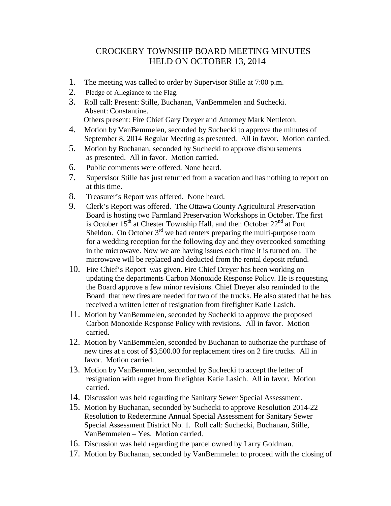## CROCKERY TOWNSHIP BOARD MEETING MINUTES HELD ON OCTOBER 13, 2014

- 1. The meeting was called to order by Supervisor Stille at 7:00 p.m.
- 2. Pledge of Allegiance to the Flag.
- 3. Roll call: Present: Stille, Buchanan, VanBemmelen and Suchecki. Absent: Constantine. Others present: Fire Chief Gary Dreyer and Attorney Mark Nettleton.
- 4. Motion by VanBemmelen, seconded by Suchecki to approve the minutes of September 8, 2014 Regular Meeting as presented. All in favor. Motion carried.
- 5. Motion by Buchanan, seconded by Suchecki to approve disbursements as presented. All in favor. Motion carried.
- 6. Public comments were offered. None heard.
- 7. Supervisor Stille has just returned from a vacation and has nothing to report on at this time.
- 8. Treasurer's Report was offered. None heard.
- 9. Clerk's Report was offered. The Ottawa County Agricultural Preservation Board is hosting two Farmland Preservation Workshops in October. The first is October  $15<sup>th</sup>$  at Chester Township Hall, and then October  $22<sup>nd</sup>$  at Port Sheldon. On October  $3<sup>rd</sup>$  we had renters preparing the multi-purpose room for a wedding reception for the following day and they overcooked something in the microwave. Now we are having issues each time it is turned on. The microwave will be replaced and deducted from the rental deposit refund.
- 10. Fire Chief's Report was given. Fire Chief Dreyer has been working on updating the departments Carbon Monoxide Response Policy. He is requesting the Board approve a few minor revisions. Chief Dreyer also reminded to the Board that new tires are needed for two of the trucks. He also stated that he has received a written letter of resignation from firefighter Katie Lasich.
- 11. Motion by VanBemmelen, seconded by Suchecki to approve the proposed Carbon Monoxide Response Policy with revisions. All in favor. Motion carried.
- 12. Motion by VanBemmelen, seconded by Buchanan to authorize the purchase of new tires at a cost of \$3,500.00 for replacement tires on 2 fire trucks. All in favor. Motion carried.
- 13. Motion by VanBemmelen, seconded by Suchecki to accept the letter of resignation with regret from firefighter Katie Lasich. All in favor. Motion carried.
- 14. Discussion was held regarding the Sanitary Sewer Special Assessment.
- 15. Motion by Buchanan, seconded by Suchecki to approve Resolution 2014-22 Resolution to Redetermine Annual Special Assessment for Sanitary Sewer Special Assessment District No. 1. Roll call: Suchecki, Buchanan, Stille, VanBemmelen – Yes. Motion carried.
- 16. Discussion was held regarding the parcel owned by Larry Goldman.
- 17. Motion by Buchanan, seconded by VanBemmelen to proceed with the closing of